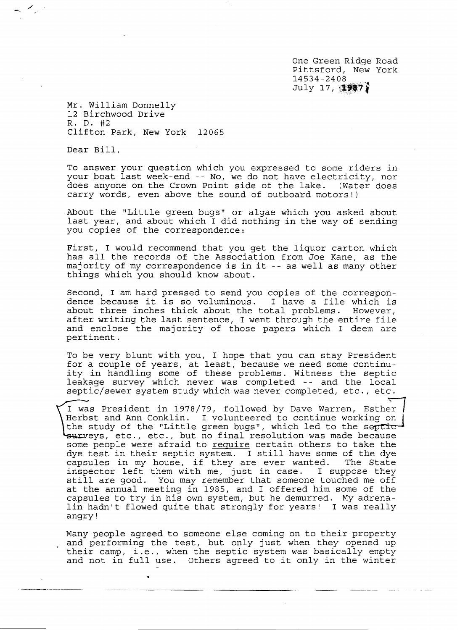One Green Ridge Road Pittsford, New York 14534-2408  $July$  17,  $\{1987\}$ 

Mr. William Donnelly 12 Birchwood Drive R. D. #2 Clifton Park, New York 12065

Dear Bill,

To answer your question which you expressed to some riders in your boat last week-end -- No, we do not have electricity, nor<br>does anyone on the Crown Point side of the lake. (Water does does anyone on the Crown Point side of the lake. carry words, even above the sound of outboard motors!)

About the "Little green bugs" or algae which you asked about last year, and about which I did nothing in the way of sending you copies of the correspondence:

First, I would recommend that you get the liquor carton which has all the records of the Association from Joe Kane, as the majority of my correspondence is in it -- as well as many other things which you should know about.

Second, I am hard pressed to send you copies of the correspondence because it is so voluminous. I have a file which is about three inches thick about the total problems. However, after writing the last sentence, I went through the entire file and enclose the majority of those papers which I deem are pertinent.

To be very blunt with you, I hope that you can stay President for a couple of years, at least, because we need some continuity in handling some of these problems. Witness the septic leakage survey which never was completed - - and the local septic/ sewer system study which was never completed, etc., etc.

I was President in 1978/79, followed by Dave Warren, Esther<br>Herbst and Ann Conklin. I volunteered to continue working on the study of the "Little green bugs", which led to the septic surveys, etc., etc., but no final resolution was made because some people were afraid to require certain others to take the dye test in their septic system. I still have some of the dye<br>capsules in my house, if they are ever wanted. The State capsules in my house, if they are ever wanted. inspector left them with me, just in case. I suppose they still are good. You may remember that someone touched me off at the annual meeting in 1985, and I offered him some of the capsules to try in his own system, but he demurred. My adrenalin hadn't flowed quite that strongly for years! I was really angry!

Many people agreed to someone else coming on to their property and performing the test, but only just when they opened up their camp, i.e., when the septic system was basically empty and not in full use. Others agreed to it only in the winter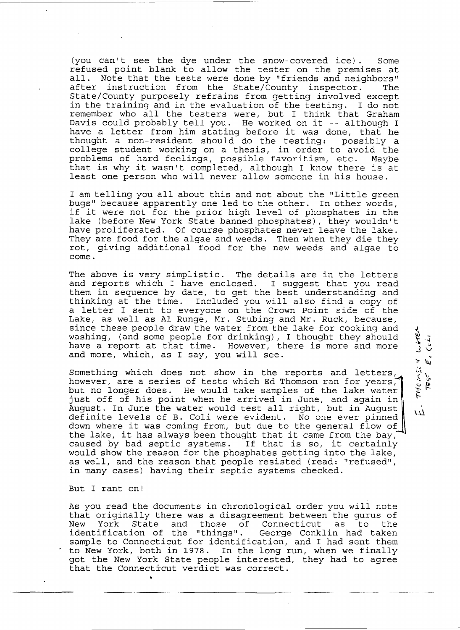(you can't see the dye under the snow-covered ice). Some refused point blank to allow the tester on the premises at all. Note that the tests were done by "friends and neighbors"<br>after instruction from the State/County inspector. The after instruction from the State/County inspector. State/County purposely refrains from getting involved except in the training and in the evaluation of the testing. I do not remember who all the testers were, but I think that Graham remember who all the testers were, but I think that Granam<br>Davis could probably tell you. He worked on it -- although I have a letter from him stating before it was done, that he thought a non-resident should do the testing: possibly a college student working on a thesis, in order to avoid the problems of hard feelings, possible favoritism, etc. Maybe that is why it wasn't completed, although I know there is at least one person who will never allow someone in his house.

I am telling you all about this and not about the "Little green bugs" because apparently one led to the other. In other words, if it were not for the prior high level of phosphates in the lake (before New York State banned phosphates), they wouldn't have proliferated. Of course phosphates never leave the lake. They are food for the algae and weeds. Then when they die they rot, giving additional food for the new weeds and algae to come.

The above is very simplistic. The details are in the letters and reports which I have enclosed. I suggest that you read them in sequence by date, to get the best understanding and thinking at the time. Included you will also find a copy of a letter I sent to everyone on the Crown Point side of the Lake, as well as Al Runge, Mr. Stubing and Mr. Ruck, because, since these people draw the water from the lake for cooking and washing, (and some people for drinking), I thought they should have a report at that time. However, there is more and more and more, which, as I say, you will see.

Something which does not show in the reports and letters, however, are a series of tests which Ed Thomson ran for years, but no longer does. He would take samples of the lake water just off of his point when he arrived in June, and again in August. In June the water would test all right, but in August definite levels of B. Coli were evident. No one ever pinned down where it was coming from, but due to the general flow of the lake, it has always been thought that it came from the bay, caused by bad septic systems. If that is so, it certainly would show the reason for the phosphates getting into the lake, as well, and the reason that people resisted (read: "refused", in many cases) having their septic systems checked.

 $\overline{\mu}$ 

トエクごくべい エ うさめう

ر د ځا

 $\tilde{\epsilon}$ 

بارجي ر

But I rant on!

•

As you read the documents in chronological order you will note that originally there was a disagreement between the gurus of<br>New York State and those of Connecticut as to the New York State and those of Connecticut as to the<br>identification of the "things". George Conklin had taken identification of the "things". sample to Connecticut for identification, and I had sent them to New York, both in 1978. In the long run, when we finally got the New York State people interested, they had to agree that the Connecticut verdict was correct.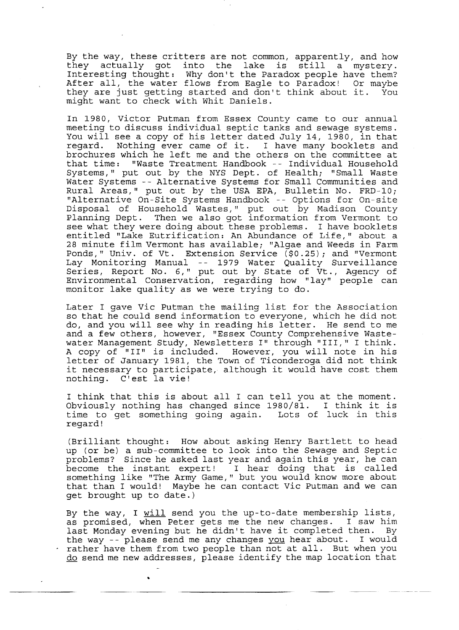By the way, these critters are not common, apparently, and how<br>they actually got into the lake is still a mystery. they actually got into the lake is still Interesting thought: Why don't the Paradox people have them? After all, the water flows from Eagle to Paradox! Or maybe they are just getting started and don't think about it. You might want to check with Whit Daniels.

In 1980, Victor Putman from Essex County came to our annual meeting to discuss individual septic tanks and sewage systems. You will see a copy of his letter dated July 14, 1980, in that<br>regard. Nothing ever came of it. I have many booklets and Nothing ever came of it. I have many booklets and brochures which he left me and the others on the committee at that time: "Waste Treatment Handbook -- Individual Household Systems," put out by the NYS Dept. of Health; "Small Waste Water Systems -- Alternative Systems for Small Communities and Rural Areas," put out by the USA EPA, Bulletin No. FRD-10; "Alternative On-Site Systems Handbook -- Options for On-site Disposal of Household Wastes," put out by Madison County Planning Dept. Then we also got information from Vermont to see what they were doing about these problems. I have booklets entitled "Lake Eutrification: An Abundance of Life," about a 28 minute film Vermont has available; "Algae and Weeds in Farm Ponds," Univ. of Vt. Extension Service (\$0.25); and "Vermont Lay Monitoring Manual -- 1979 Water Quality Surveillance Series, Report No.6," put out by State of Vt., Agency of Environmental Conservation, regarding how "lay" people can monitor lake quality as we were trying to do.

Later I gave Vic Putman the mailing list for the Association so that he could send information to everyone, which he did not do, and you will see why in reading his letter. He send to me and a few others, however, "Essex County Comprehensive Wastewater Management Study, Newsletters I" through "III," I think. A copy of "II" is included. However, you will note in his letter of January 1981, the Town of Ticonderoga did not think it necessary to participate, although it would have cost them nothing. C'est la vie!

I think that this is about all I can tell you at the moment. Obviously nothing has changed since 1980/81. I think it is time to get something going again. Lots of luck in this regard!

(Brilliant thought: How about asking Henry Bartlett to head up (or be) a sub-committee to look into the Sewage and Septic problems? Since he asked last year and again this year, he can become the instant expert! I hear doing that is called something like "The Army Game," but you would know more about that than I would! Maybe he can contact vic Putman and we can get brought up to date.)

By the way, I will send you the up-to-date membership lists, as promised, when Peter gets me the new changes. I saw him last Monday evening but he didn't have it completed then. By the way -- please send me any changes you hear about. I would rather have them from two people than not at all. But when you do send me new addresses, please identify the map location that

•